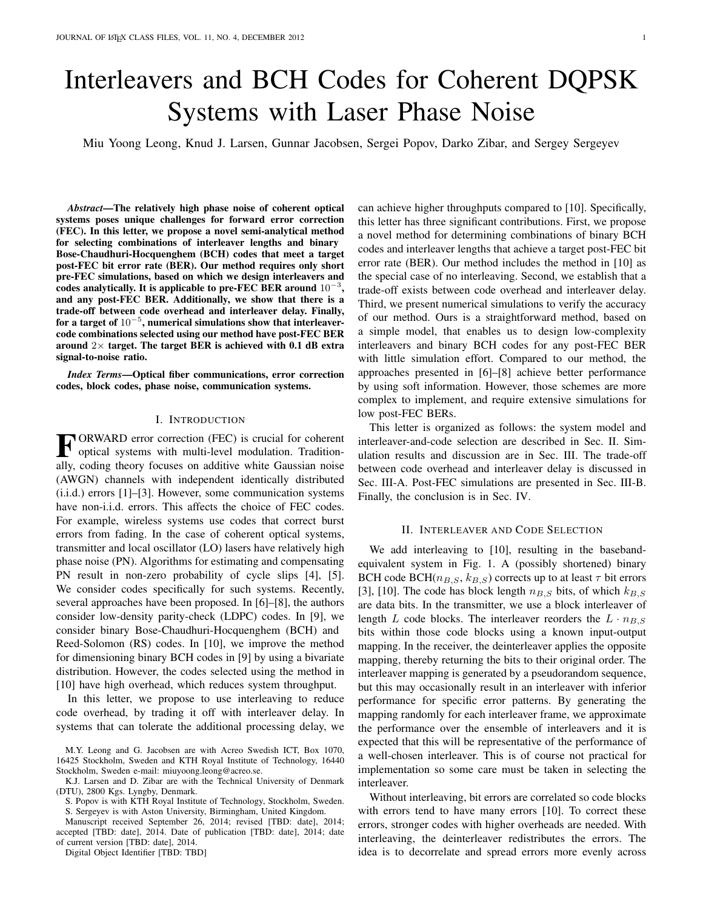# Interleavers and BCH Codes for Coherent DQPSK Systems with Laser Phase Noise

Miu Yoong Leong, Knud J. Larsen, Gunnar Jacobsen, Sergei Popov, Darko Zibar, and Sergey Sergeyev

*Abstract*—The relatively high phase noise of coherent optical systems poses unique challenges for forward error correction (FEC). In this letter, we propose a novel semi-analytical method for selecting combinations of interleaver lengths and binary Bose-Chaudhuri-Hocquenghem (BCH) codes that meet a target post-FEC bit error rate (BER). Our method requires only short pre-FEC simulations, based on which we design interleavers and  $\frac{1}{2}$  codes analytically. It is applicable to pre-FEC BER around  $10^{-3}$ , and any post-FEC BER. Additionally, we show that there is a trade-off between code overhead and interleaver delay. Finally, for a target of  $10^{-5}$ , numerical simulations show that interleavercode combinations selected using our method have post-FEC BER around  $2\times$  target. The target BER is achieved with 0.1 dB extra signal-to-noise ratio.

*Index Terms*—Optical fiber communications, error correction codes, block codes, phase noise, communication systems.

### I. INTRODUCTION

FORWARD error correction (FEC) is crucial for coherent<br>optical systems with multi-level modulation. Tradition-<br>alleves direction for the set of diffuse white Constitution ORWARD error correction (FEC) is crucial for coherent ally, coding theory focuses on additive white Gaussian noise (AWGN) channels with independent identically distributed (i.i.d.) errors [1]–[3]. However, some communication systems have non-i.i.d. errors. This affects the choice of FEC codes. For example, wireless systems use codes that correct burst errors from fading. In the case of coherent optical systems, transmitter and local oscillator (LO) lasers have relatively high phase noise (PN). Algorithms for estimating and compensating PN result in non-zero probability of cycle slips [4], [5]. We consider codes specifically for such systems. Recently, several approaches have been proposed. In [6]–[8], the authors consider low-density parity-check (LDPC) codes. In [9], we consider binary Bose-Chaudhuri-Hocquenghem (BCH) and Reed-Solomon (RS) codes. In [10], we improve the method for dimensioning binary BCH codes in [9] by using a bivariate distribution. However, the codes selected using the method in [10] have high overhead, which reduces system throughput.

In this letter, we propose to use interleaving to reduce code overhead, by trading it off with interleaver delay. In systems that can tolerate the additional processing delay, we

M.Y. Leong and G. Jacobsen are with Acreo Swedish ICT, Box 1070, 16425 Stockholm, Sweden and KTH Royal Institute of Technology, 16440 Stockholm, Sweden e-mail: miuyoong.leong@acreo.se.

K.J. Larsen and D. Zibar are with the Technical University of Denmark (DTU), 2800 Kgs. Lyngby, Denmark.

S. Popov is with KTH Royal Institute of Technology, Stockholm, Sweden. S. Sergeyev is with Aston University, Birmingham, United Kingdom.

Manuscript received September 26, 2014; revised [TBD: date], 2014; accepted [TBD: date], 2014. Date of publication [TBD: date], 2014; date of current version [TBD: date], 2014.

Digital Object Identifier [TBD: TBD]

can achieve higher throughputs compared to [10]. Specifically, this letter has three significant contributions. First, we propose a novel method for determining combinations of binary BCH codes and interleaver lengths that achieve a target post-FEC bit error rate (BER). Our method includes the method in [10] as the special case of no interleaving. Second, we establish that a trade-off exists between code overhead and interleaver delay. Third, we present numerical simulations to verify the accuracy of our method. Ours is a straightforward method, based on a simple model, that enables us to design low-complexity interleavers and binary BCH codes for any post-FEC BER with little simulation effort. Compared to our method, the approaches presented in [6]–[8] achieve better performance by using soft information. However, those schemes are more complex to implement, and require extensive simulations for low post-FEC BERs.

This letter is organized as follows: the system model and interleaver-and-code selection are described in Sec. II. Simulation results and discussion are in Sec. III. The trade-off between code overhead and interleaver delay is discussed in Sec. III-A. Post-FEC simulations are presented in Sec. III-B. Finally, the conclusion is in Sec. IV.

## II. INTERLEAVER AND CODE SELECTION

We add interleaving to [10], resulting in the basebandequivalent system in Fig. 1. A (possibly shortened) binary BCH code BCH( $n_{B,S}, k_{B,S}$ ) corrects up to at least  $\tau$  bit errors [3], [10]. The code has block length  $n_{B,S}$  bits, of which  $k_{B,S}$ are data bits. In the transmitter, we use a block interleaver of length L code blocks. The interleaver reorders the  $L \cdot n_{B,S}$ bits within those code blocks using a known input-output mapping. In the receiver, the deinterleaver applies the opposite mapping, thereby returning the bits to their original order. The interleaver mapping is generated by a pseudorandom sequence, but this may occasionally result in an interleaver with inferior performance for specific error patterns. By generating the mapping randomly for each interleaver frame, we approximate the performance over the ensemble of interleavers and it is expected that this will be representative of the performance of a well-chosen interleaver. This is of course not practical for implementation so some care must be taken in selecting the interleaver.

Without interleaving, bit errors are correlated so code blocks with errors tend to have many errors [10]. To correct these errors, stronger codes with higher overheads are needed. With interleaving, the deinterleaver redistributes the errors. The idea is to decorrelate and spread errors more evenly across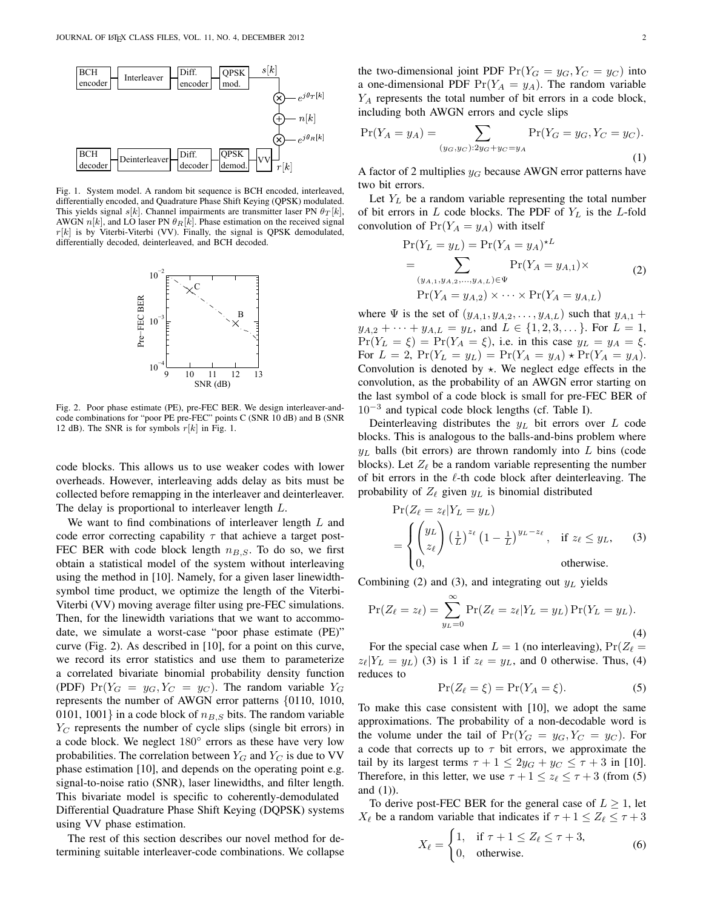

Fig. 1. System model. A random bit sequence is BCH encoded, interleaved, differentially encoded, and Quadrature Phase Shift Keying (QPSK) modulated. This yields signal s[k]. Channel impairments are transmitter laser PN  $\theta_{\mathcal{T}}[k]$ , AWGN  $n[k]$ , and LO laser PN  $\theta_R[k]$ . Phase estimation on the received signal  $r[k]$  is by Viterbi-Viterbi (VV). Finally, the signal is QPSK demodulated, differentially decoded, deinterleaved, and BCH decoded.



Fig. 2. Poor phase estimate (PE), pre-FEC BER. We design interleaver-andcode combinations for "poor PE pre-FEC" points C (SNR 10 dB) and B (SNR 12 dB). The SNR is for symbols  $r[k]$  in Fig. 1.

code blocks. This allows us to use weaker codes with lower overheads. However, interleaving adds delay as bits must be collected before remapping in the interleaver and deinterleaver. The delay is proportional to interleaver length L.

We want to find combinations of interleaver length  $L$  and code error correcting capability  $\tau$  that achieve a target post-FEC BER with code block length  $n_{B,S}$ . To do so, we first obtain a statistical model of the system without interleaving using the method in [10]. Namely, for a given laser linewidthsymbol time product, we optimize the length of the Viterbi-Viterbi (VV) moving average filter using pre-FEC simulations. Then, for the linewidth variations that we want to accommodate, we simulate a worst-case "poor phase estimate (PE)" curve (Fig. 2). As described in [10], for a point on this curve, we record its error statistics and use them to parameterize a correlated bivariate binomial probability density function (PDF)  $Pr(Y_G = y_G, Y_C = y_C)$ . The random variable  $Y_G$ represents the number of AWGN error patterns {0110, 1010, 0101, 1001} in a code block of  $n_{B,S}$  bits. The random variable  $Y_C$  represents the number of cycle slips (single bit errors) in a code block. We neglect  $180^\circ$  errors as these have very low probabilities. The correlation between  $Y_G$  and  $Y_C$  is due to VV phase estimation [10], and depends on the operating point e.g. signal-to-noise ratio (SNR), laser linewidths, and filter length. This bivariate model is specific to coherently-demodulated Differential Quadrature Phase Shift Keying (DQPSK) systems using VV phase estimation.

The rest of this section describes our novel method for determining suitable interleaver-code combinations. We collapse

the two-dimensional joint PDF  $Pr(Y_G = y_G, Y_C = y_C)$  into a one-dimensional PDF  $Pr(Y_A = y_A)$ . The random variable  $Y_A$  represents the total number of bit errors in a code block, including both AWGN errors and cycle slips

$$
\Pr(Y_A = y_A) = \sum_{(y_G, y_C): 2y_G + y_C = y_A} \Pr(Y_G = y_G, Y_C = y_C).
$$
\n(1)

A factor of 2 multiplies  $y_G$  because AWGN error patterns have two bit errors.

Let  $Y_L$  be a random variable representing the total number of bit errors in  $L$  code blocks. The PDF of  $Y_L$  is the L-fold convolution of  $Pr(Y_A = y_A)$  with itself

$$
\Pr(Y_L = y_L) = \Pr(Y_A = y_A)^{\star L} \n= \sum_{(y_{A,1}, y_{A,2}, ..., y_{A,L}) \in \Psi} \Pr(Y_A = y_{A,1}) \times \Pr(Y_A = y_{A,2}) \times \cdots \times \Pr(Y_A = y_{A,L})
$$
\n(2)

where  $\Psi$  is the set of  $(y_{A,1}, y_{A,2}, \ldots, y_{A,L})$  such that  $y_{A,1}$  +  $y_{A,2} + \cdots + y_{A,L} = y_L$ , and  $L \in \{1,2,3,\dots\}$ . For  $L = 1$ ,  $Pr(Y_L = \xi) = Pr(Y_A = \xi)$ , i.e. in this case  $y_L = y_A = \xi$ . For  $L = 2$ ,  $Pr(Y_L = y_L) = Pr(Y_A = y_A) * Pr(Y_A = y_A)$ . Convolution is denoted by  $\star$ . We neglect edge effects in the convolution, as the probability of an AWGN error starting on the last symbol of a code block is small for pre-FEC BER of 10<sup>−</sup><sup>3</sup> and typical code block lengths (cf. Table I).

Deinterleaving distributes the  $y_L$  bit errors over  $L$  code blocks. This is analogous to the balls-and-bins problem where  $y_L$  balls (bit errors) are thrown randomly into L bins (code blocks). Let  $Z_{\ell}$  be a random variable representing the number of bit errors in the ℓ-th code block after deinterleaving. The probability of  $Z_{\ell}$  given  $y_L$  is binomial distributed

$$
\Pr(Z_{\ell} = z_{\ell} | Y_L = y_L)
$$
\n
$$
= \begin{cases} \n\left(\frac{y_L}{z_{\ell}}\right) \left(\frac{1}{L}\right)^{z_{\ell}} \left(1 - \frac{1}{L}\right)^{y_L - z_{\ell}}, & \text{if } z_{\ell} \leq y_L, \\
0, & \text{otherwise.} \n\end{cases} (3)
$$

Combining (2) and (3), and integrating out  $y_L$  yields

$$
Pr(Z_{\ell} = z_{\ell}) = \sum_{y_L=0}^{\infty} Pr(Z_{\ell} = z_{\ell} | Y_L = y_L) Pr(Y_L = y_L).
$$
\n(4)

For the special case when  $L = 1$  (no interleaving),  $Pr(Z_\ell =$  $z_{\ell}$ |Y<sub>L</sub> = y<sub>L</sub>) (3) is 1 if  $z_{\ell} = y_L$ , and 0 otherwise. Thus, (4) reduces to

$$
\Pr(Z_{\ell} = \xi) = \Pr(Y_A = \xi). \tag{5}
$$

To make this case consistent with [10], we adopt the same approximations. The probability of a non-decodable word is the volume under the tail of  $Pr(Y_G = y_G, Y_C = y_C)$ . For a code that corrects up to  $\tau$  bit errors, we approximate the tail by its largest terms  $\tau + 1 \leq 2y_G + y_C \leq \tau + 3$  in [10]. Therefore, in this letter, we use  $\tau + 1 \le z_\ell \le \tau + 3$  (from (5) and (1)).

To derive post-FEC BER for the general case of  $L \geq 1$ , let  $X_{\ell}$  be a random variable that indicates if  $\tau + 1 \le Z_{\ell} \le \tau + 3$ 

$$
X_{\ell} = \begin{cases} 1, & \text{if } \tau + 1 \le Z_{\ell} \le \tau + 3, \\ 0, & \text{otherwise.} \end{cases} \tag{6}
$$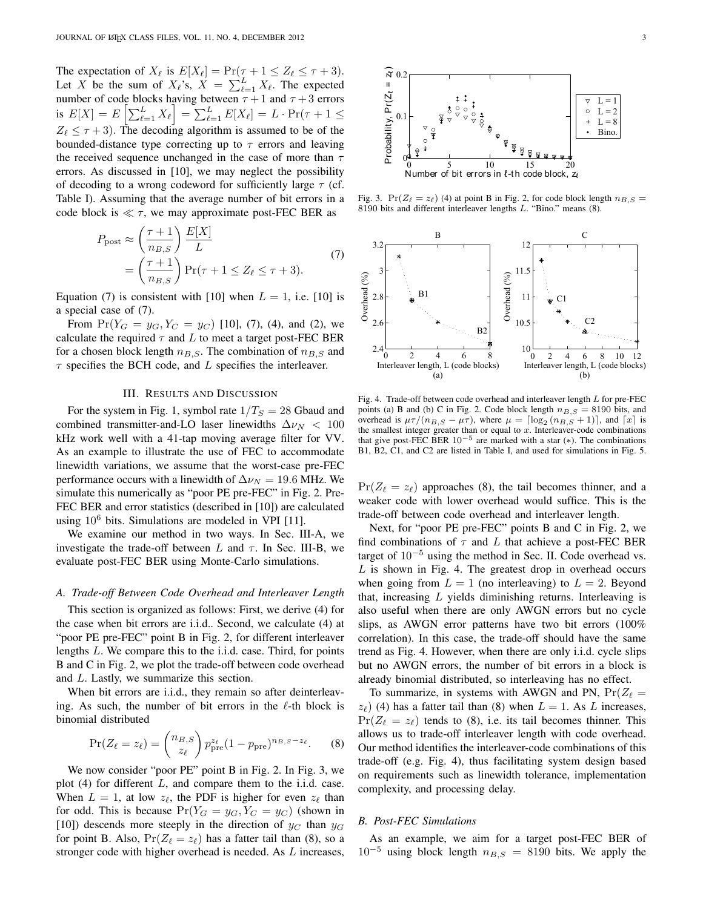The expectation of  $X_{\ell}$  is  $E[X_{\ell}] = \Pr(\tau + 1 \le Z_{\ell} \le \tau + 3)$ . Let X be the sum of  $X_{\ell}$ 's,  $X = \sum_{\ell=1}^{L} X_{\ell}$ . The expected number of code blocks having between  $\tau + 1$  and  $\tau + 3$  errors is  $E[X] = E\left[\sum_{\ell=1}^{L} X_{\ell}\right] = \sum_{\ell=1}^{L} E[X_{\ell}] = L \cdot Pr(\tau + 1 \le$  $Z_{\ell} \leq \tau + 3$ ). The decoding algorithm is assumed to be of the bounded-distance type correcting up to  $\tau$  errors and leaving the received sequence unchanged in the case of more than  $\tau$ errors. As discussed in [10], we may neglect the possibility of decoding to a wrong codeword for sufficiently large  $\tau$  (cf. Table I). Assuming that the average number of bit errors in a code block is  $\ll \tau$ , we may approximate post-FEC BER as

$$
P_{\text{post}} \approx \left(\frac{\tau + 1}{n_{B,S}}\right) \frac{E[X]}{L}
$$
  
=  $\left(\frac{\tau + 1}{n_{B,S}}\right) \Pr(\tau + 1 \le Z_\ell \le \tau + 3).$  (7)

Equation (7) is consistent with [10] when  $L = 1$ , i.e. [10] is a special case of (7).

From  $Pr(Y_G = y_G, Y_C = y_C)$  [10], (7), (4), and (2), we calculate the required  $\tau$  and L to meet a target post-FEC BER for a chosen block length  $n_{B,S}$ . The combination of  $n_{B,S}$  and  $\tau$  specifies the BCH code, and L specifies the interleaver.

#### III. RESULTS AND DISCUSSION

For the system in Fig. 1, symbol rate  $1/T_S = 28$  Gbaud and combined transmitter-and-LO laser linewidths  $\Delta \nu_N < 100$ kHz work well with a 41-tap moving average filter for VV. As an example to illustrate the use of FEC to accommodate linewidth variations, we assume that the worst-case pre-FEC performance occurs with a linewidth of  $\Delta \nu_N = 19.6$  MHz. We simulate this numerically as "poor PE pre-FEC" in Fig. 2. Pre-FEC BER and error statistics (described in [10]) are calculated using  $10^6$  bits. Simulations are modeled in VPI [11].

We examine our method in two ways. In Sec. III-A, we investigate the trade-off between L and  $\tau$ . In Sec. III-B, we evaluate post-FEC BER using Monte-Carlo simulations.

# *A. Trade-off Between Code Overhead and Interleaver Length*

This section is organized as follows: First, we derive (4) for the case when bit errors are i.i.d.. Second, we calculate (4) at "poor PE pre-FEC" point B in Fig. 2, for different interleaver lengths L. We compare this to the i.i.d. case. Third, for points B and C in Fig. 2, we plot the trade-off between code overhead and L. Lastly, we summarize this section.

When bit errors are i.i.d., they remain so after deinterleaving. As such, the number of bit errors in the  $\ell$ -th block is binomial distributed

$$
\Pr(Z_{\ell} = z_{\ell}) = {n_{B,S} \choose z_{\ell}} p_{\text{pre}}^{z_{\ell}} (1 - p_{\text{pre}})^{n_{B,S} - z_{\ell}}.
$$
 (8)

We now consider "poor PE" point B in Fig. 2. In Fig. 3, we plot  $(4)$  for different L, and compare them to the i.i.d. case. When  $L = 1$ , at low  $z_{\ell}$ , the PDF is higher for even  $z_{\ell}$  than for odd. This is because  $Pr(Y_G = y_G, Y_C = y_C)$  (shown in [10]) descends more steeply in the direction of  $y_C$  than  $y_G$ for point B. Also,  $Pr(Z_\ell = z_\ell)$  has a fatter tail than (8), so a stronger code with higher overhead is needed. As L increases,



Fig. 3.  $Pr(Z_\ell = z_\ell)$  (4) at point B in Fig. 2, for code block length  $n_{B,S}$  = 8190 bits and different interleaver lengths L. "Bino." means (8).



Fig. 4. Trade-off between code overhead and interleaver length L for pre-FEC points (a) B and (b) C in Fig. 2. Code block length  $n_{B,S} = 8190$  bits, and overhead is  $\mu \tau / (n_{B,S} - \mu \tau)$ , where  $\mu = \lceil \log_2(n_{B,S} + 1) \rceil$ , and  $\lceil x \rceil$  is the smallest integer greater than or equal to  $x$ . Interleaver-code combinations that give post-FEC BER  $10^{-5}$  are marked with a star (\*). The combinations B1, B2, C1, and C2 are listed in Table I, and used for simulations in Fig. 5.

 $Pr(Z_\ell = z_\ell)$  approaches (8), the tail becomes thinner, and a weaker code with lower overhead would suffice. This is the trade-off between code overhead and interleaver length.

Next, for "poor PE pre-FEC" points B and C in Fig. 2, we find combinations of  $\tau$  and L that achieve a post-FEC BER target of  $10^{-5}$  using the method in Sec. II. Code overhead vs.  $L$  is shown in Fig. 4. The greatest drop in overhead occurs when going from  $L = 1$  (no interleaving) to  $L = 2$ . Beyond that, increasing L yields diminishing returns. Interleaving is also useful when there are only AWGN errors but no cycle slips, as AWGN error patterns have two bit errors (100% correlation). In this case, the trade-off should have the same trend as Fig. 4. However, when there are only i.i.d. cycle slips but no AWGN errors, the number of bit errors in a block is already binomial distributed, so interleaving has no effect.

To summarize, in systems with AWGN and PN,  $Pr(Z_{\ell} =$  $z_{\ell}$ ) (4) has a fatter tail than (8) when  $L = 1$ . As L increases,  $Pr(Z_{\ell} = z_{\ell})$  tends to (8), i.e. its tail becomes thinner. This allows us to trade-off interleaver length with code overhead. Our method identifies the interleaver-code combinations of this trade-off (e.g. Fig. 4), thus facilitating system design based on requirements such as linewidth tolerance, implementation complexity, and processing delay.

## *B. Post-FEC Simulations*

As an example, we aim for a target post-FEC BER of  $10^{-5}$  using block length  $n_{B,S} = 8190$  bits. We apply the